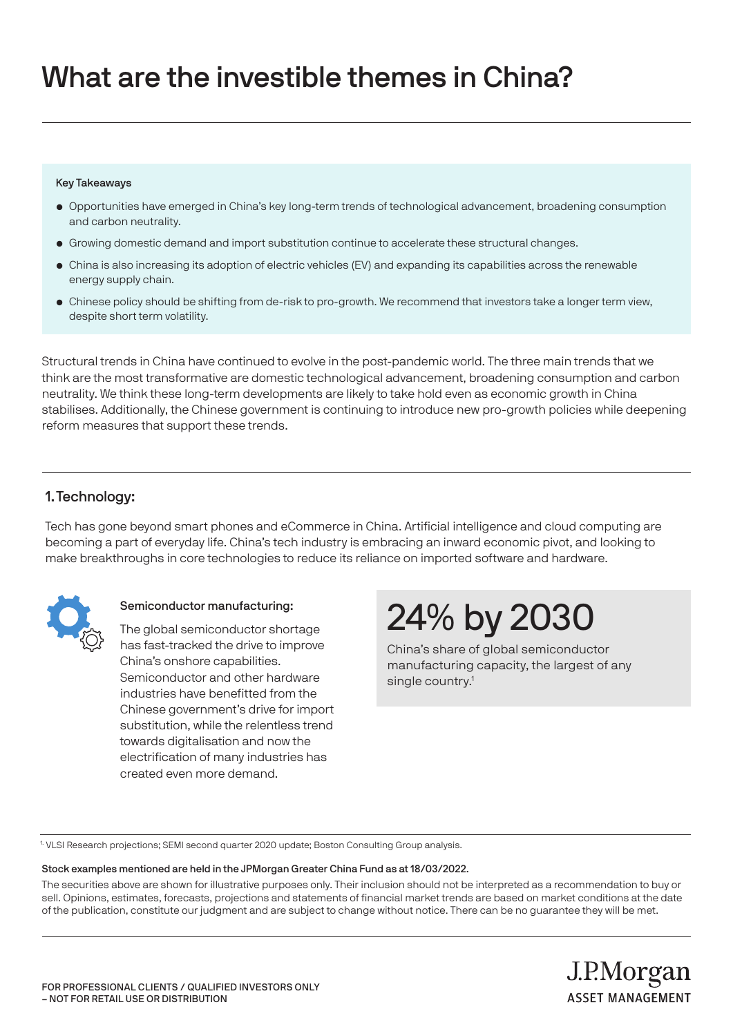### What are the investible themes in China?

#### Key Takeaways

- Opportunities have emerged in China's key long-term trends of technological advancement, broadening consumption and carbon neutrality.
- Growing domestic demand and import substitution continue to accelerate these structural changes.
- China is also increasing its adoption of electric vehicles (EV) and expanding its capabilities across the renewable energy supply chain.
- Chinese policy should be shifting from de-risk to pro-growth. We recommend that investors take a longer term view, despite short term volatility.

Structural trends in China have continued to evolve in the post-pandemic world. The three main trends that we think are the most transformative are domestic technological advancement, broadening consumption and carbon neutrality. We think these long-term developments are likely to take hold even as economic growth in China stabilises. Additionally, the Chinese government is continuing to introduce new pro-growth policies while deepening reform measures that support these trends.

#### 1.Technology:

Tech has gone beyond smart phones and eCommerce in China. Artificial intelligence and cloud computing are becoming a part of everyday life. China's tech industry is embracing an inward economic pivot, and looking to make breakthroughs in core technologies to reduce its reliance on imported software and hardware.



#### Semiconductor manufacturing:

The global semiconductor shortage has fast-tracked the drive to improve China's onshore capabilities. Semiconductor and other hardware industries have benefitted from the Chinese government's drive for import substitution, while the relentless trend towards digitalisation and now the electrification of many industries has created even more demand.

## 24% by 2030

China's share of global semiconductor manufacturing capacity, the largest of any single country.<sup>1</sup>

J.P.Morgan

**ASSET MANAGEMENT** 

1. VLSI Research projections; SEMI second quarter 2020 update; Boston Consulting Group analysis.

#### Stock examples mentioned are held in the JPMorgan Greater China Fund as at 18/03/2022.

The securities above are shown for illustrative purposes only. Their inclusion should not be interpreted as a recommendation to buy or sell. Opinions, estimates, forecasts, projections and statements of financial market trends are based on market conditions at the date of the publication, constitute our judgment and are subject to change without notice. There can be no guarantee they will be met.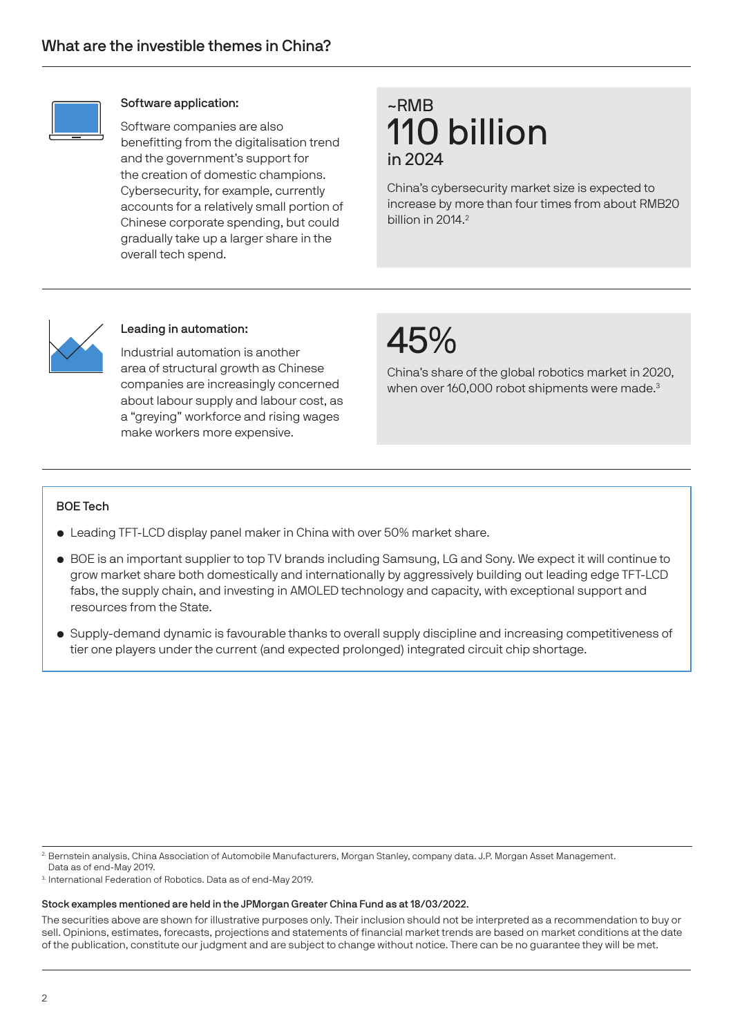

#### Software application:

Software companies are also benefitting from the digitalisation trend and the government's support for the creation of domestic champions. Cybersecurity, for example, currently accounts for a relatively small portion of Chinese corporate spending, but could gradually take up a larger share in the overall tech spend.

### ~RMB 110 billion in 2024

China's cybersecurity market size is expected to increase by more than four times from about RMB20 billion in 2014.<sup>2</sup>



#### Leading in automation:

Industrial automation is another area of structural growth as Chinese companies are increasingly concerned about labour supply and labour cost, as a "greying" workforce and rising wages make workers more expensive.

### 45%

China's share of the global robotics market in 2020, when over 160,000 robot shipments were made.<sup>3</sup>

#### BOE Tech

- Leading TFT-LCD display panel maker in China with over 50% market share.
- BOE is an important supplier to top TV brands including Samsung, LG and Sony. We expect it will continue to grow market share both domestically and internationally by aggressively building out leading edge TFT-LCD fabs, the supply chain, and investing in AMOLED technology and capacity, with exceptional support and resources from the State.
- Supply-demand dynamic is favourable thanks to overall supply discipline and increasing competitiveness of tier one players under the current (and expected prolonged) integrated circuit chip shortage.

2. Bernstein analysis, China Association of Automobile Manufacturers, Morgan Stanley, company data. J.P. Morgan Asset Management.

Data as of end-May 2019.

3. International Federation of Robotics. Data as of end-May 2019.

#### Stock examples mentioned are held in the JPMorgan Greater China Fund as at 18/03/2022.

The securities above are shown for illustrative purposes only. Their inclusion should not be interpreted as a recommendation to buy or sell. Opinions, estimates, forecasts, projections and statements of financial market trends are based on market conditions at the date of the publication, constitute our judgment and are subject to change without notice. There can be no guarantee they will be met.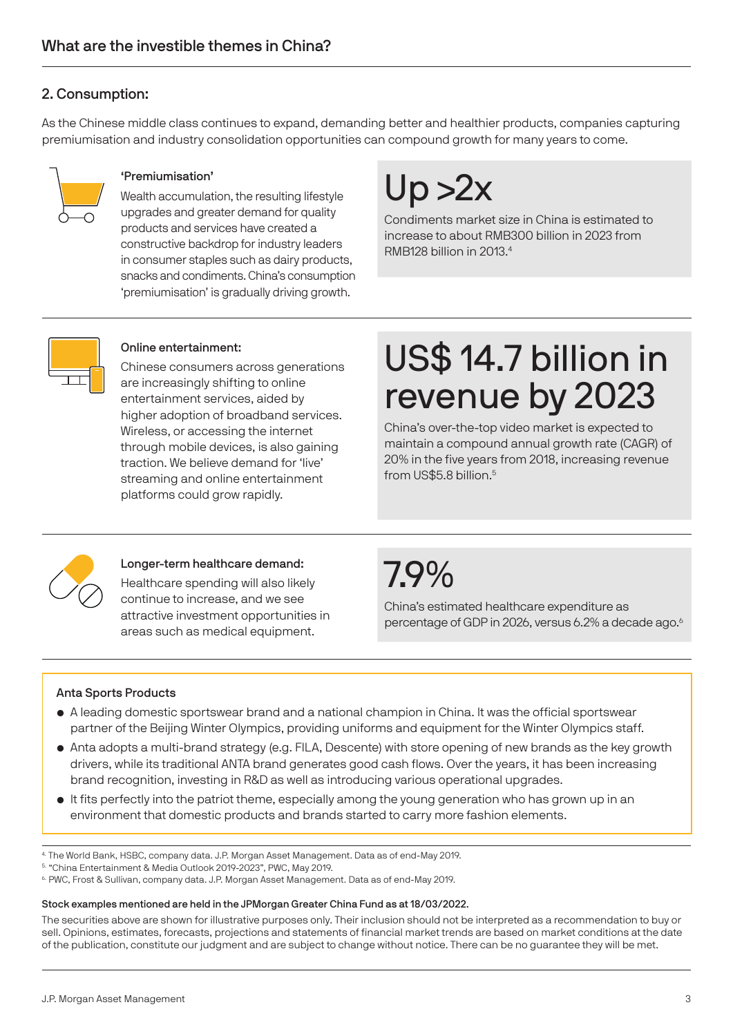### 2. Consumption:

As the Chinese middle class continues to expand, demanding better and healthier products, companies capturing premiumisation and industry consolidation opportunities can compound growth for many years to come.



#### 'Premiumisation'

Wealth accumulation, the resulting lifestyle upgrades and greater demand for quality products and services have created a constructive backdrop for industry leaders in consumer staples such as dairy products, snacks and condiments. China's consumption 'premiumisation' is gradually driving growth.

# $Up > 2x$

Condiments market size in China is estimated to increase to about RMB300 billion in 2023 from RMB128 billion in 2013.4



#### Online entertainment:

Chinese consumers across generations are increasingly shifting to online entertainment services, aided by higher adoption of broadband services. Wireless, or accessing the internet through mobile devices, is also gaining traction. We believe demand for 'live' streaming and online entertainment platforms could grow rapidly.

### US\$ 14.7 billion in revenue by 2023

China's over-the-top video market is expected to maintain a compound annual growth rate (CAGR) of 20% in the five years from 2018, increasing revenue from US\$5.8 billion.5



#### Longer-term healthcare demand:

Healthcare spending will also likely continue to increase, and we see attractive investment opportunities in areas such as medical equipment.

7.9%

China's estimated healthcare expenditure as percentage of GDP in 2026, versus 6.2% a decade ago.<sup>6</sup>

#### Anta Sports Products

- A leading domestic sportswear brand and a national champion in China. It was the official sportswear partner of the Beijing Winter Olympics, providing uniforms and equipment for the Winter Olympics staff.
- Anta adopts a multi-brand strategy (e.g. FILA, Descente) with store opening of new brands as the key growth drivers, while its traditional ANTA brand generates good cash flows. Over the years, it has been increasing brand recognition, investing in R&D as well as introducing various operational upgrades.
- It fits perfectly into the patriot theme, especially among the young generation who has grown up in an environment that domestic products and brands started to carry more fashion elements.

4. The World Bank, HSBC, company data. J.P. Morgan Asset Management. Data as of end-May 2019.

5. "China Entertainment & Media Outlook 2019-2023", PWC, May 2019.

6. PWC, Frost & Sullivan, company data. J.P. Morgan Asset Management. Data as of end-May 2019.

#### Stock examples mentioned are held in the JPMorgan Greater China Fund as at 18/03/2022.

The securities above are shown for illustrative purposes only. Their inclusion should not be interpreted as a recommendation to buy or sell. Opinions, estimates, forecasts, projections and statements of financial market trends are based on market conditions at the date of the publication, constitute our judgment and are subject to change without notice. There can be no guarantee they will be met.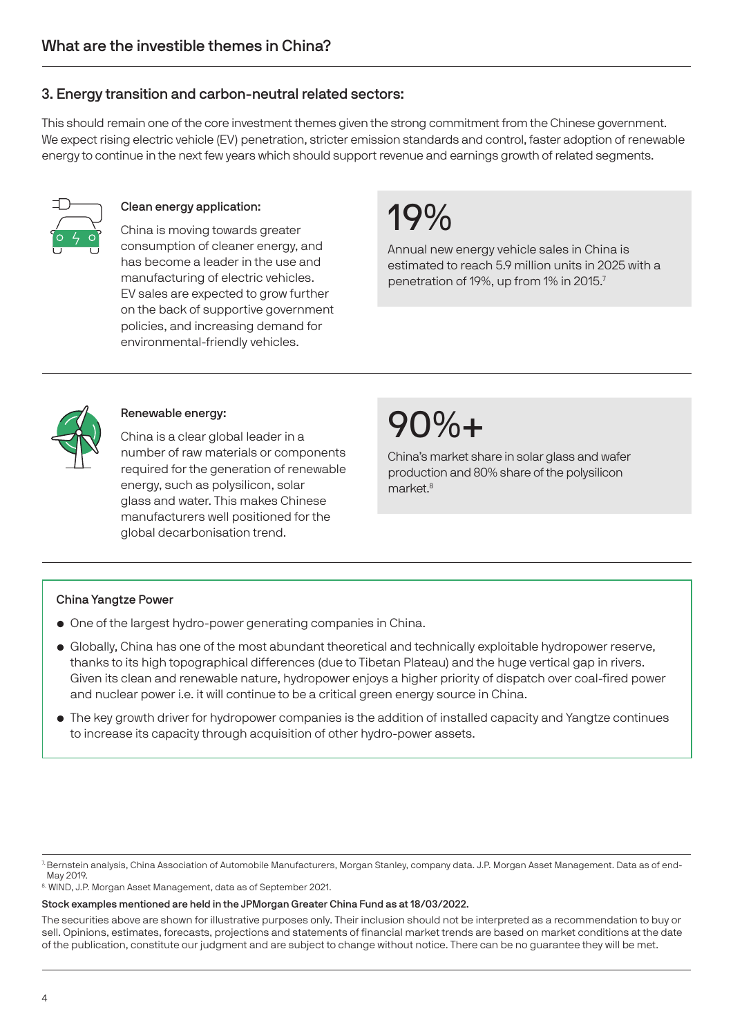#### 3. Energy transition and carbon-neutral related sectors:

This should remain one of the core investment themes given the strong commitment from the Chinese government. We expect rising electric vehicle (EV) penetration, stricter emission standards and control, faster adoption of renewable energy to continue in the next few years which should support revenue and earnings growth of related segments.



#### Clean energy application:

China is moving towards greater consumption of cleaner energy, and has become a leader in the use and manufacturing of electric vehicles. EV sales are expected to grow further on the back of supportive government policies, and increasing demand for environmental-friendly vehicles.

### 19%

Annual new energy vehicle sales in China is estimated to reach 5.9 million units in 2025 with a penetration of 19%, up from 1% in 2015.7



#### Renewable energy:

China is a clear global leader in a number of raw materials or components required for the generation of renewable energy, such as polysilicon, solar glass and water. This makes Chinese manufacturers well positioned for the global decarbonisation trend.

### 90%+

China's market share in solar glass and wafer production and 80% share of the polysilicon market<sup>8</sup>

#### China Yangtze Power

- One of the largest hydro-power generating companies in China.
- Globally, China has one of the most abundant theoretical and technically exploitable hydropower reserve, thanks to its high topographical differences (due to Tibetan Plateau) and the huge vertical gap in rivers. Given its clean and renewable nature, hydropower enjoys a higher priority of dispatch over coal-fired power and nuclear power i.e. it will continue to be a critical green energy source in China.
- The key growth driver for hydropower companies is the addition of installed capacity and Yangtze continues to increase its capacity through acquisition of other hydro-power assets.

<sup>7.</sup> Bernstein analysis, China Association of Automobile Manufacturers, Morgan Stanley, company data. J.P. Morgan Asset Management. Data as of end-May 2019.

<sup>8.</sup> WIND, J.P. Morgan Asset Management, data as of September 2021.

Stock examples mentioned are held in the JPMorgan Greater China Fund as at 18/03/2022.

The securities above are shown for illustrative purposes only. Their inclusion should not be interpreted as a recommendation to buy or sell. Opinions, estimates, forecasts, projections and statements of financial market trends are based on market conditions at the date of the publication, constitute our judgment and are subject to change without notice. There can be no guarantee they will be met.